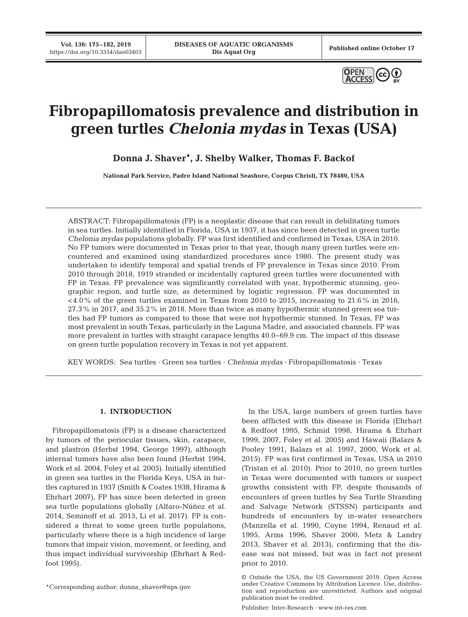**Vol. 136: 175–182, 2019**



# **Fibropapillomatosis prevalence and distribution in green turtles** *Chelonia mydas* **in Texas (USA)**

**Donna J. Shaver\*, J. Shelby Walker, Thomas F. Backof**

**National Park Service, Padre Island National Seashore, Corpus Christi, TX 78480, USA**

ABSTRACT: Fibropapillomatosis (FP) is a neoplastic disease that can result in debilitating tumors in sea turtles. Initially identified in Florida, USA in 1937, it has since been detected in green turtle *Chelonia mydas* populations globally. FP was first identified and confirmed in Texas, USA in 2010. No FP tumors were documented in Texas prior to that year, though many green turtles were encountered and examined using standardized procedures since 1980. The present study was undertaken to identify temporal and spatial trends of FP prevalence in Texas since 2010. From 2010 through 2018, 1919 stranded or incidentally captured green turtles were documented with FP in Texas. FP prevalence was significantly correlated with year, hypothermic stunning, geographic region, and turtle size, as determined by logistic regression. FP was documented in  $<$  4.0% of the green turtles examined in Texas from 2010 to 2015, increasing to 21.6% in 2016, 27.3% in 2017, and 35.2% in 2018. More than twice as many hypothermic stunned green sea turtles had FP tumors as compared to those that were not hypothermic stunned. In Texas, FP was most prevalent in south Texas, particularly in the Laguna Madre, and associated channels. FP was more prevalent in turtles with straight carapace lengths 40.0−69.9 cm. The impact of this disease on green turtle population recovery in Texas is not yet apparent.

KEY WORDS: Sea turtles · Green sea turtles · *Chelonia mydas* · Fibropapillomatosis · Texas

## **1. INTRODUCTION**

Fibropapillomatosis (FP) is a disease characterized by tumors of the periocular tissues, skin, carapace, and plastron (Herbst 1994, George 1997), although internal tumors have also been found (Herbst 1994, Work et al. 2004, Foley et al. 2005). Initially identified in green sea turtles in the Florida Keys, USA in turtles captured in 1937 (Smith & Coates 1938, Hirama & Ehrhart 2007), FP has since been detected in green sea turtle populations globally (Alfaro-Núñez et al. 2014, Seminoff et al. 2015, Li et al. 2017). FP is considered a threat to some green turtle populations, particularly where there is a high incidence of large tumors that impair vision, movement, or feeding, and thus impact individual survivorship (Ehrhart & Redfoot 1995).

\*Corresponding author: donna\_shaver@nps.gov

In the USA, large numbers of green turtles have been afflicted with this disease in Florida (Ehrhart & Redfoot 1995, Schmid 1998, Hirama & Ehrhart 1999, 2007, Foley et al. 2005) and Hawaii (Balazs & Pooley 1991, Balazs et al. 1997, 2000, Work et al. 2015). FP was first confirmed in Texas, USA in 2010 (Tristan et al. 2010). Prior to 2010, no green turtles in Texas were documented with tumors or suspect growths consistent with FP, despite thousands of encounters of green turtles by Sea Turtle Stranding and Salvage Network (STSSN) participants and hundreds of encounters by in-water researchers (Manzella et al. 1990, Coyne 1994, Renaud et al. 1995, Arms 1996, Shaver 2000, Metz & Landry 2013, Shaver et al. 2013), confirming that the disease was not missed, but was in fact not present prior to 2010.

Publisher: Inter-Research · www.int-res.com

<sup>©</sup> Outside the USA, the US Government 2019. Open Access under Creative Commons by Attribution Licence. Use, distribution and reproduction are unrestricted. Authors and original publication must be credited.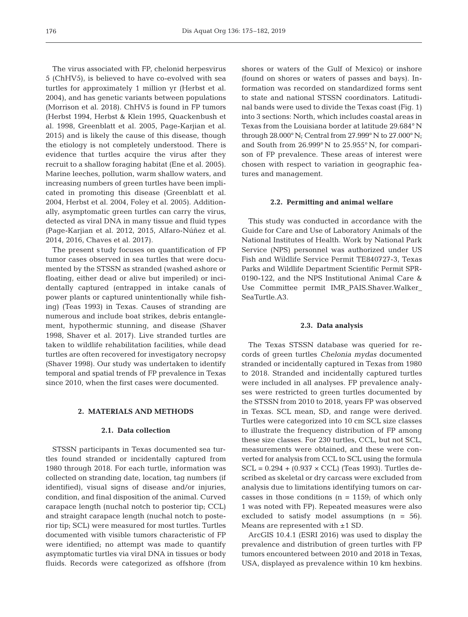The virus associated with FP, chelonid herpesvirus 5 (ChHV5), is believed to have co-evolved with sea turtles for approximately 1 million yr (Herbst et al. 2004), and has genetic variants between populations (Morrison et al. 2018). ChHV5 is found in FP tumors (Herbst 1994, Herbst & Klein 1995, Quackenbush et al. 1998, Greenblatt et al. 2005, Page-Karjian et al. 2015) and is likely the cause of this disease, though the etiology is not completely understood. There is evidence that turtles acquire the virus after they recruit to a shallow foraging habitat (Ene et al. 2005). Marine leeches, pollution, warm shallow waters, and increasing numbers of green turtles have been implicated in promoting this disease (Greenblatt et al. 2004, Herbst et al. 2004, Foley et al. 2005). Additionally, asymptomatic green turtles can carry the virus, detected as viral DNA in many tissue and fluid types (Page-Karjian et al. 2012, 2015, Alfaro-Núñez et al. 2014, 2016, Chaves et al. 2017).

The present s tudy focuses on quantification of FP tumor cases observed in sea turtles that were documented by the STSSN as stranded (washed ashore or floating, either dead or alive but imperiled) or incidentally captured (entrapped in intake canals of power plants or captured unintentionally while fishing) (Teas 1993) in Texas. Causes of stranding are numerous and include boat strikes, debris entanglement, hypothermic stunning, and disease (Shaver 1998, Shaver et al. 2017). Live stranded turtles are taken to wildlife rehabilitation facilities, while dead turtles are often recovered for investigatory necropsy (Shaver 1998). Our study was undertaken to identify temporal and spatial trends of FP prevalence in Texas since 2010, when the first cases were documented.

## **2. MATERIALS AND METHODS**

## **2.1. Data collection**

STSSN participants in Texas documented sea turtles found stranded or incidentally captured from 1980 through 2018. For each turtle, information was collected on stranding date, location, tag numbers (if identified), visual signs of disease and/or injuries, condition, and final disposition of the animal. Curved carapace length (nuchal notch to posterior tip; CCL) and straight carapace length (nuchal notch to posterior tip; SCL) were measured for most turtles. Turtles documented with visible tumors characteristic of FP were identified; no attempt was made to quantify asymptomatic turtles via viral DNA in tissues or body fluids. Records were categorized as offshore (from

shores or waters of the Gulf of Mexico) or inshore (found on shores or waters of passes and bays). In formation was recorded on standardized forms sent to state and national STSSN coordinators. Latitudinal bands were used to divide the Texas coast (Fig. 1) into 3 sections: North, which includes coastal areas in Texas from the Louisiana border at latitude 29.684° N through 28.000° N; Central from 27.999° N to 27.000° N; and South from 26.999° N to 25.955° N, for comparison of FP prevalence. These areas of interest were chosen with respect to variation in geographic features and management.

# **2.2. Permitting and animal welfare**

This study was conducted in accordance with the Guide for Care and Use of Laboratory Animals of the National Institutes of Health. Work by National Park Service (NPS) personnel was authorized under US Fish and Wildlife Service Permit TE840727-3, Texas Parks and Wildlife Department Scientific Permit SPR-0190-122, and the NPS Institutional Animal Care & Use Committee permit IMR\_PAIS.Shaver.Walker\_ SeaTurtle.A3.

## **2.3. Data analysis**

The Texas STSSN database was queried for records of green turtles *Chelonia mydas* documented stranded or incidentally captured in Texas from 1980 to 2018. Stranded and incidentally captured turtles were included in all analyses. FP prevalence analyses were restricted to green turtles documented by the STSSN from 2010 to 2018, years FP was observed in Texas. SCL mean, SD, and range were derived. Turtles were categorized into 10 cm SCL size classes to illustrate the frequency distribution of FP among these size classes. For 230 turtles, CCL, but not SCL, measurements were obtained, and these were converted for analysis from CCL to SCL using the formula  $SCL = 0.294 + (0.937 \times CCL)$  (Teas 1993). Turtles described as skeletal or dry carcass were excluded from analysis due to limitations identifying tumors on carcasses in those conditions  $(n = 1159)$ ; of which only 1 was noted with FP). Repeated measures were also excluded to satisfy model assumptions (n = 56). Means are represented with ±1 SD.

ArcGIS 10.4.1 (ESRI 2016) was used to display the prevalence and distribution of green turtles with FP tumors encountered between 2010 and 2018 in Texas, USA, displayed as prevalence within 10 km hexbins.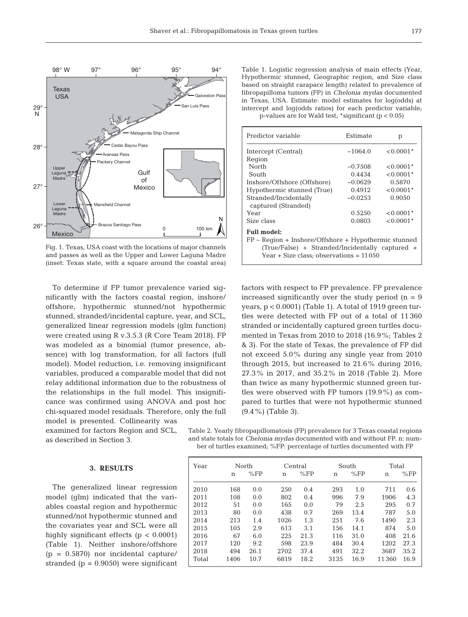

Fig. 1. Texas, USA coast with the locations of major channels and passes as well as the Upper and Lower Laguna Madre (inset: Texas state, with a square around the coastal area)

To determine if FP tumor prevalence varied significantly with the factors coastal region, inshore/ offshore, hypothermic stunned/not hypothermic stunned, stranded/incidental capture, year, and SCL, generalized linear regression models (glm function) were created using R v.3.5.3 (R Core Team 2018). FP was modeled as a binomial (tumor presence, absence) with log transformation, for all factors (full model). Model reduction, i.e. removing insignificant variables, produced a comparable model that did not relay additional information due to the robustness of the relationships in the full model. This insignificance was confirmed using ANOVA and post hoc chi-squared model residuals. Therefore, only the full model is presented. Collinearity was

examined for factors Region and SCL, as described in Section 3.

### **3. RESULTS**

The generalized linear regression model (glm) indicated that the variables coastal region and hypothermic stunned/not hypothermic stunned and the covariates year and SCL were all highly significant effects (p < 0.0001) (Table 1). Neither inshore/offshore  $(p = 0.5870)$  nor incidental capture/ stranded ( $p = 0.9050$ ) were significant

Table 1. Logistic regression analysis of main effects (Year, Hypothermic stunned, Geographic region, and Size class based on straight carapace length) related to prevalence of fibropapilloma tumors (FP) in *Chelonia mydas* documented in Texas, USA. Estimate: model estimates for log(odds) at intercept and log(odds ratios) for each predictor variable; p-values are for Wald test; \*significant (p < 0.05)

| Predictor variable                                                                                                                                       | Estimate  | p              |  |  |  |  |  |
|----------------------------------------------------------------------------------------------------------------------------------------------------------|-----------|----------------|--|--|--|--|--|
| Intercept (Central)                                                                                                                                      | $-1064.0$ | $< 0.0001*$    |  |  |  |  |  |
| Region                                                                                                                                                   |           |                |  |  |  |  |  |
| North                                                                                                                                                    | $-0.7508$ | $< 0.0001*$    |  |  |  |  |  |
| South                                                                                                                                                    | 0.4434    | $< 0.0001*$    |  |  |  |  |  |
| Inshore/Offshore (Offshore)                                                                                                                              | $-0.0629$ | 0.5870         |  |  |  |  |  |
| Hypothermic stunned (True)                                                                                                                               | 0.4912    | $0.0001*$      |  |  |  |  |  |
| Stranded/Incidentally<br>captured (Stranded)                                                                                                             | $-0.0253$ | 0.9050         |  |  |  |  |  |
| Year                                                                                                                                                     | 0.5250    | $< 0.0001*$    |  |  |  |  |  |
| Size class                                                                                                                                               | 0.0803    | $\leq 0.0001*$ |  |  |  |  |  |
| <b>Full model:</b>                                                                                                                                       |           |                |  |  |  |  |  |
| $FP \sim Region + Inshore/Ofshore + Hypothermic stunnel$<br>(True/False) + Stranded/Incidentally captured +<br>Year + Size class; observations = $11050$ |           |                |  |  |  |  |  |

factors with respect to FP prevalence. FP prevalence increased significantly over the study period  $(n = 9)$ years, p < 0.0001) (Table 1). A total of 1919 green turtles were detected with FP out of a total of 11 360 stranded or incidentally captured green turtles documented in Texas from 2010 to 2018 (16.9%; Tables 2 & 3). For the state of Texas, the prevalence of FP did not exceed 5.0% during any single year from 2010 through 2015, but increased to 21.6% during 2016, 27.3% in 2017, and 35.2% in 2018 (Table 2). More than twice as many hypothermic stunned green turtles were observed with FP tumors (19.9%) as compared to turtles that were not hypothermic stunned (9.4%) (Table 3).

Table 2. Yearly fibropapillomatosis (FP) prevalence for 3 Texas coastal regions and state totals for *Chelonia mydas* documented with and without FP. n: number of turtles examined; %FP: percentage of turtles documented with FP

| Year  | North |      | Central |      | South |      | Total |      |
|-------|-------|------|---------|------|-------|------|-------|------|
|       | n     | %FP  | n       | %FP  | n     | %FP  | n     | %FP  |
| 2010  | 168   | 0.0  | 250     | 0.4  | 293   | 1.0  | 711   | 0.6  |
| 2011  | 108   | 0.0  | 802     | 0.4  | 996   | 7.9  | 1906  | 4.3  |
| 2012  | 51    | 0.0  | 165     | 0.0  | 79    | 2.5  | 295   | 0.7  |
| 2013  | 80    | 0.0  | 438     | 0.7  | 269   | 13.4 | 787   | 5.0  |
| 2014  | 213   | 1.4  | 1026    | 1.3  | 251   | 7.6  | 1490  | 2.3  |
| 2015  | 105   | 2.9  | 613     | 3.1  | 156   | 14.1 | 874   | 5.0  |
| 2016  | 67    | 6.0  | 225     | 21.3 | 116   | 31.0 | 408   | 21.6 |
| 2017  | 120   | 9.2  | 598     | 23.9 | 484   | 30.4 | 1202  | 27.3 |
| 2018  | 494   | 26.1 | 2702    | 37.4 | 491   | 32.2 | 3687  | 35.2 |
| Total | 1406  | 10.7 | 6819    | 18.2 | 3135  | 16.9 | 11360 | 16.9 |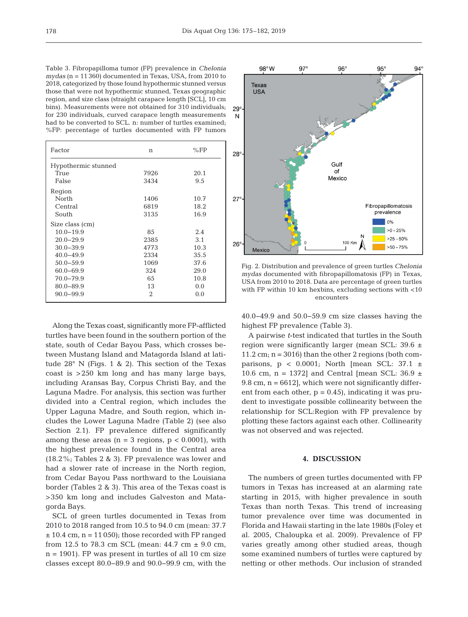Table 3. Fibropapilloma tumor (FP) prevalence in *Chelonia mydas* (n = 11 360) documented in Texas, USA, from 2010 to 2018, categorized by those found hypothermic stunned versus those that were not hypothermic stunned, Texas geographic region, and size class (straight carapace length [SCL], 10 cm bins). Measurements were not obtained for 310 individuals; for 230 individuals, curved carapace length measurements had to be converted to SCL. n: number of turtles examined; %FP: percentage of turtles documented with FP tumors

| n               | %FP  |  |  |  |  |  |
|-----------------|------|--|--|--|--|--|
|                 |      |  |  |  |  |  |
| 7926            | 20.1 |  |  |  |  |  |
| 3434            | 9.5  |  |  |  |  |  |
|                 |      |  |  |  |  |  |
| 1406            | 10.7 |  |  |  |  |  |
| 6819            | 18.2 |  |  |  |  |  |
| 3135            | 16.9 |  |  |  |  |  |
| Size class (cm) |      |  |  |  |  |  |
| 85              | 2.4  |  |  |  |  |  |
| 2385            | 3.1  |  |  |  |  |  |
| 4773            | 10.3 |  |  |  |  |  |
| 2334            | 35.5 |  |  |  |  |  |
| 1069            | 37.6 |  |  |  |  |  |
| 324             | 29.0 |  |  |  |  |  |
| 65              | 10.8 |  |  |  |  |  |
| 13              | 0.0  |  |  |  |  |  |
| 2               | 0.0  |  |  |  |  |  |
|                 |      |  |  |  |  |  |

Along the Texas coast, significantly more FP-afflicted turtles have been found in the southern portion of the state, south of Cedar Bayou Pass, which crosses be tween Mustang Island and Matagorda Island at latitude 28° N (Figs. 1 & 2). This section of the Texas coast is >250 km long and has many large bays, including Aransas Bay, Corpus Christi Bay, and the Laguna Madre. For analysis, this section was further divided into a Central region, which includes the Upper Laguna Madre, and South region, which includes the Lower Laguna Madre (Table 2) (see also Section 2.1). FP prevalence differed significantly among these areas ( $n = 3$  regions,  $p < 0.0001$ ), with the highest prevalence found in the Central area (18.2%; Tables 2 & 3). FP prevalence was lower and had a slower rate of increase in the North region, from Cedar Bayou Pass northward to the Louisiana border (Tables 2 & 3). This area of the Texas coast is >350 km long and includes Galveston and Matagorda Bays.

SCL of green turtles documented in Texas from 2010 to 2018 ranged from 10.5 to 94.0 cm (mean: 37.7  $± 10.4$  cm,  $n = 11 050$ ; those recorded with FP ranged from 12.5 to 78.3 cm SCL (mean:  $44.7 \text{ cm} \pm 9.0 \text{ cm}$ ,  $n = 1901$ . FP was present in turtles of all 10 cm size classes except 80.0−89.9 and 90.0−99.9 cm, with the



Fig. 2. Distribution and prevalence of green turtles *Chelonia mydas* documented with fibropapillomatosis (FP) in Texas, USA from 2010 to 2018. Data are percentage of green turtles with FP within 10 km hexbins, excluding sections with <10 encounters

40.0−49.9 and 50.0−59.9 cm size classes having the highest FP prevalence (Table 3).

A pairwise *t*-test indicated that turtles in the South region were significantly larger (mean SCL: 39.6 ± 11.2 cm;  $n = 3016$ ) than the other 2 regions (both comparisons,  $p < 0.0001$ ; North [mean SCL: 37.1  $\pm$ 10.6 cm, n = 1372] and Central [mean SCL: 36.9  $\pm$ 9.8 cm,  $n = 6612$ , which were not significantly different from each other,  $p = 0.45$ , indicating it was prudent to investigate possible collinearity between the relationship for SCL:Region with FP prevalence by plotting these factors against each other. Collinearity was not observed and was rejected.

## **4. DISCUSSION**

The numbers of green turtles documented with FP tumors in Texas has increased at an alarming rate starting in 2015, with higher prevalence in south Texas than north Texas. This trend of increasing tumor prevalence over time was documented in Florida and Hawaii starting in the late 1980s (Foley et al. 2005, Chaloupka et al. 2009). Prevalence of FP varies greatly among other studied areas, though some examined numbers of turtles were captured by netting or other methods. Our inclusion of stranded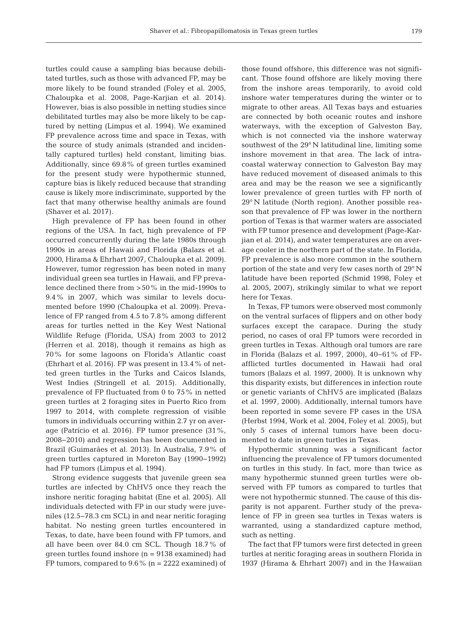turtles could cause a sampling bias because debilitated turtles, such as those with advanced FP, may be more likely to be found stranded (Foley et al. 2005, Chaloupka et al. 2008, Page-Karjian et al. 2014). However, bias is also possible in netting studies since debilitated turtles may also be more likely to be captured by netting (Limpus et al. 1994). We examined FP prevalence across time and space in Texas, with the source of study animals (stranded and incidentally captured turtles) held constant, limiting bias. Additionally, since 69.8% of green turtles examined for the present study were hypothermic stunned, capture bias is likely reduced because that stranding cause is likely more indiscriminate, supported by the fact that many otherwise healthy animals are found (Shaver et al. 2017).

High prevalence of FP has been found in other regions of the USA. In fact, high prevalence of FP occurred concurrently during the late 1980s through 1990s in areas of Hawaii and Florida (Balazs et al. 2000, Hirama & Ehrhart 2007, Chaloupka et al. 2009). However, tumor regression has been noted in many individual green sea turtles in Hawaii, and FP prevalence declined there from >50% in the mid-1990s to 9.4% in 2007, which was similar to levels documented before 1990 (Chaloupka et al. 2009). Prevalence of FP ranged from 4.5 to 7.8% among different areas for turtles netted in the Key West National Wildlife Refuge (Florida, USA) from 2003 to 2012 (Herren et al. 2018), though it remains as high as 70% for some lagoons on Florida's Atlantic coast (Ehrhart et al. 2016). FP was present in 13.4% of netted green turtles in the Turks and Caicos Islands, West Indies (Stringell et al. 2015). Additionally, prevalence of FP fluctuated from 0 to 75% in netted green turtles at 2 foraging sites in Puerto Rico from 1997 to 2014, with complete regression of visible tumors in individuals occurring within 2.7 yr on average (Patrício et al. 2016). FP tumor presence (31%, 2008−2010) and regression has been documented in Brazil (Guimarães et al. 2013). In Australia, 7.9% of green turtles captured in Moreton Bay (1990−1992) had FP tumors (Limpus et al. 1994).

Strong evidence suggests that juvenile green sea turtles are infected by ChHV5 once they reach the inshore neritic foraging habitat (Ene et al. 2005). All individuals detected with FP in our study were juveniles (12.5−78.3 cm SCL) in and near neritic foraging habitat. No nesting green turtles encountered in Texas, to date, have been found with FP tumors, and all have been over 84.0 cm SCL. Though 18.7% of green turtles found inshore (n = 9138 examined) had FP tumors, compared to  $9.6\%$  (n = 2222 examined) of

those found offshore, this difference was not significant. Those found offshore are likely moving there from the inshore areas temporarily, to avoid cold inshore water temperatures during the winter or to migrate to other areas. All Texas bays and estuaries are connected by both oceanic routes and inshore waterways, with the exception of Galveston Bay, which is not connected via the inshore waterway southwest of the 29° N latitudinal line, limiting some inshore movement in that area. The lack of intracoastal waterway connection to Galveston Bay may have reduced movement of diseased animals to this area and may be the reason we see a significantly lower prevalence of green turtles with FP north of 29° N latitude (North region). Another possible reason that prevalence of FP was lower in the northern portion of Texas is that warmer waters are associated with FP tumor presence and development (Page-Karjian et al. 2014), and water temperatures are on average cooler in the northern part of the state. In Florida, FP prevalence is also more common in the southern portion of the state and very few cases north of 29° N latitude have been reported (Schmid 1998, Foley et al. 2005, 2007), strikingly similar to what we report here for Texas.

In Texas, FP tumors were observed most commonly on the ventral surfaces of flippers and on other body surfaces except the carapace. During the study period, no cases of oral FP tumors were recorded in green turtles in Texas. Although oral tumors are rare in Florida (Balazs et al. 1997, 2000), 40−61% of FPafflicted turtles documented in Hawaii had oral tumors (Balazs et al. 1997, 2000). It is unknown why this disparity exists, but differences in infection route or genetic variants of ChHV5 are implicated (Balazs et al. 1997, 2000). Additionally, internal tumors have been reported in some severe FP cases in the USA (Herbst 1994, Work et al. 2004, Foley et al. 2005), but only 5 cases of internal tumors have been documented to date in green turtles in Texas.

Hypothermic stunning was a significant factor influencing the prevalence of FP tumors documented on turtles in this study. In fact, more than twice as many hypothermic stunned green turtles were observed with FP tumors as compared to turtles that were not hypothermic stunned. The cause of this disparity is not apparent. Further study of the prevalence of FP in green sea turtles in Texas waters is warranted, using a standardized capture method, such as netting.

The fact that FP tumors were first detected in green turtles at neritic foraging areas in southern Florida in 1937 (Hirama & Ehrhart 2007) and in the Hawaiian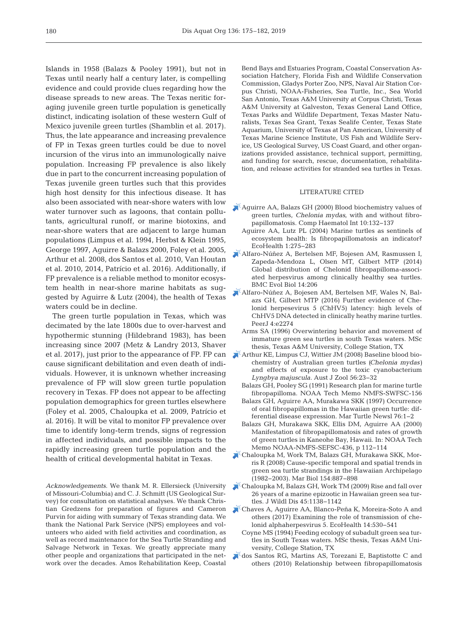Islands in 1958 (Balazs & Pooley 1991), but not in Texas until nearly half a century later, is compelling evidence and could provide clues regarding how the disease spreads to new areas. The Texas neritic foraging juvenile green turtle population is genetically distinct, indicating isolation of these western Gulf of Mexico juvenile green turtles (Shamblin et al. 2017). Thus, the late appearance and increasing prevalence of FP in Texas green turtles could be due to novel incursion of the virus into an immunologically naive population. Increasing FP prevalence is also likely due in part to the concurrent increasing population of Texas juvenile green turtles such that this provides high host density for this infectious disease. It has also been associated with near-shore waters with low water turnover such as lagoons, that contain pollutants, agricultural runoff, or marine biotoxins, and near-shore waters that are adjacent to large human populations (Limpus et al. 1994, Herbst & Klein 1995, George 1997, Aguirre & Balazs 2000, Foley et al. 2005, Arthur et al. 2008, dos Santos et al. 2010, Van Houtan et al. 2010, 2014, Patrício et al. 2016). Additionally, if FP prevalence is a reliable method to monitor ecosystem health in near-shore marine habitats as suggested by Aguirre & Lutz (2004), the health of Texas waters could be in decline.

The green turtle population in Texas, which was decimated by the late 1800s due to over-harvest and hypothermic stunning (Hildebrand 1983), has been increasing since 2007 (Metz & Landry 2013, Shaver et al. 2017), just prior to the appearance of FP. FP can cause significant debilitation and even death of individuals. However, it is unknown whether increasing prevalence of FP will slow green turtle population recovery in Texas. FP does not appear to be affecting population demographics for green turtles elsewhere (Foley et al. 2005, Chaloupka et al. 2009, Patrício et al. 2016). It will be vital to monitor FP prevalence over time to identify long-term trends, signs of regression in affected individuals, and possible impacts to the rapidly increasing green turtle population and the health of critical developmental habitat in Texas.

*Acknowledgements*. We thank M. R. Ellersieck (University of Missouri-Columbia) and C. J. Schmitt (US Geological Survey) for consultation on statistical analyses. We thank Christian Gredzens for preparation of figures and Cameron Purvin for aiding with summary of Texas stranding data. We thank the National Park Service (NPS) employees and volunteers who aided with field activities and coordination, as well as record maintenance for the Sea Turtle Stranding and Salvage Network in Texas. We greatly appreciate many other people and organizations that participated in the network over the decades. Amos Rehabilitation Keep, Coastal

Bend Bays and Estuaries Program, Coastal Conservation As sociation Hatchery, Florida Fish and Wildlife Conservation Commission, Gladys Porter Zoo, NPS, Naval Air Station Corpus Christi, NOAA-Fisheries, Sea Turtle, Inc., Sea World San Antonio, Texas A&M University at Corpus Christi, Texas A&M University at Galveston, Texas General Land Office, Texas Parks and Wildlife Department, Texas Master Naturalists, Texas Sea Grant, Texas Sealife Center, Texas State Aquarium, University of Texas at Pan American, University of Texas Marine Science Institute, US Fish and Wildlife Service, US Geological Survey, US Coast Guard, and other organizations provided assistance, technical support, permitting, and funding for search, rescue, documentation, rehabilitation, and release activities for stranded sea turtles in Texas.

#### LITERATURE CITED

- [Aguirre AA, Balazs GH \(2000\) Blood biochemistry values of](https://doi.org/10.1007/s005800070004) green turtles, *Chelonia mydas*, with and without fibropapillomatosis. Comp Haematol Int 10: 132−137
	- Aguirre AA, Lutz PL (2004) Marine turtles as sentinels of ecosystem health: Is fibropapillomatosis an indicator? EcoHealth 1: 275−283
- [Alfaro-Núñez A, Bertelsen MF, Bojesen AM, Rasmussen I,](https://doi.org/10.1186/s12862-014-0206-z) Zapeda-Mendoza L, Olsen MT, Gilbert MTP (2014) Global distribution of Chelonid fibropapilloma-associated herpesvirus among clinically healthy sea turtles. BMC Evol Biol 14:206
- [Alfaro-Núñez A, Bojesen AM, Bertelsen MF, Wales N, Bal](https://doi.org/10.7717/peerj.2274)azs GH, Gilbert MTP (2016) Further evidence of Chelonid herpesevirus 5 (ChHV5) latency: high levels of ChHV5 DNA detected in clinically heathy marine turtles. PeerJ 4:e2274
- Arms SA (1996) Overwintering behavior and movement of immature green sea turtles in south Texas waters. MSc thesis, Texas A&M University, College Station, TX
- [Arthur KE, Limpus CJ, Wittier JM \(2008\) Baseline blood bio](https://doi.org/10.1071/ZO08055)chemistry of Australian green turtles *(Chelonia mydas)* and effects of exposure to the toxic cyanobacterium Lyngbya majuscula. Aust J Zool 56:23-32
	- Balazs GH, Pooley SG (1991) Research plan for marine turtle fibropapilloma. NOAA Tech Memo NMFS-SWFSC-156
	- Balazs GH, Aguirre AA, Murakawa SKK (1997) Occurrence of oral fibropapillomas in the Hawaiian green turtle: differential disease expression. Mar Turtle Newsl 76: 1−2
	- Balazs GH, Murakawa SKK, Ellis DM, Aguirre AA (2000) Manifestation of fibropapillomatosis and rates of growth of green turtles in Kaneohe Bay, Hawaii. In: NOAA Tech Memo NOAA-NMFS-SEFSC-436, p 112−114
- [Chaloupka M, Work TM, Balazs GH, Murakawa SKK, Mor](https://doi.org/10.1007/s00227-008-0981-4)ris R (2008) Cause-specific temporal and spatial trends in green sea turtle strandings in the Hawaiian Archipelago (1982−2003). Mar Biol 154: 887−898
- [Chaloupka M, Balazs GH, Work TM \(2009\) Rise and fall over](https://doi.org/10.7589/0090-3558-45.4.1138) 26 years of a marine epizootic in Hawaiian green sea turtles. J Wildl Dis 45: 1138−1142
- [Chaves A, Aguirre AA, Blanco-Peña K, Moreira-Soto A and](https://doi.org/10.1007/s10393-017-1248-7) others (2017) Examining the role of transmission of chelonid alphaherpesvirus 5. EcoHealth 14:530-541
- Coyne MS (1994) Feeding ecology of subadult green sea turtles in South Texas waters. MSc thesis, Texas A&M University, College Station, TX
- [dos Santos RG, Martins AS, Torezani E, Baptistotte C and](https://doi.org/10.3354/dao02178) others (2010) Relationship between fibropapillomatosis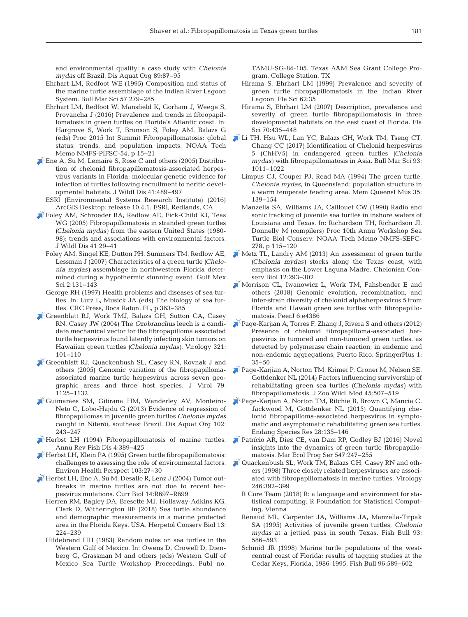and environmental quality:a case study with *Chelonia mydas* off Brazil. Dis Aquat Org 89:87-95

- Ehrhart LM, Redfoot WE (1995) Composition and status of the marine turtle assemblage of the Indian River Lagoon System. Bull Mar Sci 57: 279−285
- Ehrhart LM, Redfoot W, Mansfield K, Gorham J, Weege S, Provancha J (2016) Prevalence and trends in fibropapillomatosis in green turtles on Florida's Atlantic coast. In: Hargrove S, Work T, Brunson S, Foley AM, Balazs G (eds) Proc 2015 Int Summit Fibropapillomatosis: global status, trends, and population impacts. NOAA Tech Memo NMFS-PIFSC-54, p 15−21
- [Ene A, Su M, Lemaire S, Rose C and others \(2005\) Distribu](https://doi.org/10.7589/0090-3558-41.3.489)tion of chelonid fibropapillomatosis-associated herpesvirus variants in Florida: molecular genetic evidence for infection of turtles following recruitment to neritic developmental habitats. J Wildl Dis 41: 489−497
	- ESRI (Environmental Systems Research Institute) (2016) ArcGIS Desktop: release 10.4.1. ESRI, Redlands, CA
- [Foley AM, Schroeder BA, Redlow AE, Fick-Child KJ, Teas](https://doi.org/10.7589/0090-3558-41.1.29) WG (2005) Fibropapillomatosis in stranded green turtles *(Chelonia mydas)* from the eastern United States (1980- 98): trends and associations with environmental factors. J Wildl Dis 41: 29−41
	- Foley AM, Singel KE, Dutton PH, Summers TM, Redlow AE, Lessman J (2007) Characteristics of a green turtle *(Chelonia mydas)* assemblage in northwestern Florida determined during a hypothermic stunning event. Gulf Mex Sci 2: 131−143
	- George RH (1997) Health problems and diseases of sea turtles. In:Lutz L, Musick JA (eds) The biology of sea turtles. CRC Press, Boca Raton, FL, p 363−385
- [Greenblatt RJ, Work TMJ, Balazs GH, Sutton CA, Casey](https://doi.org/10.1016/j.virol.2003.12.026) RN, Casey JW (2004) The *Ozobranchus* leech is a candidate mechanical vector for the fibropapilloma associated turtle herpesvirus found latently infecting skin tumors on Hawaiian green turtles *(Chelonia mydas)*. Virology 321: 101−110
- [Greenblatt RJ, Quackenbush SL, Casey RN, Rovnak J and](https://doi.org/10.1128/JVI.79.2.1125-1132.2005) others (2005) Genomic variation of the fibropapillomaassociated marine turtle herpesvirus across seven geographic areas and three host species. J Virol 79: 1125−1132
- [Guimarães SM, Gitirana HM, Wanderley AV, Monteiro-](https://doi.org/10.3354/dao02542)Neto C, Lobo-Hajdu G (2013) Evidence of regression of fibropapillomas in juvenile green turtles *Chelonia mydas* caught in Niterói, southeast Brazil. Dis Aquat Org 102: 243−247
- $\blacktriangleright$  [Herbst LH \(1994\) Fibropapillomatosis of marine turtles.](https://doi.org/10.1016/0959-8030(94)90037-X) Annu Rev Fish Dis 4: 389−425
- [Herbst LH, Klein PA \(1995\) Green turtle fibropapillomatosis:](https://doi.org/10.1289/ehp.95103s427)  challenges to assessing the role of environmental factors. Environ Health Perspect 103: 27−30
- [Herbst LH, Ene A, Su M, Desalle R, Lenz J \(2004\) Tumor out](https://doi.org/10.1016/j.cub.2004.08.040)breaks in marine turtles are not due to recent herpesvirus mutations. Curr Biol 14: R697−R699
	- Herren RM, Bagley DA, Bresette MJ, Hollaway-Adkins KG, Clark D, Witherington BE (2018) Sea turtle abundance and demographic measurements in a marine protected area in the Florida Keys, USA. Herpetol Conserv Biol 13: 224−239
	- Hildebrand HH (1983) Random notes on sea turtles in the Western Gulf of Mexico. In: Owens D, Crowell D, Dienberg G, Grassman M and others (eds) Western Gulf of Mexico Sea Turtle Workshop Proceedings. Publ no.

TAMU-SG-84-105. Texas A&M Sea Grant College Program, College Station, TX

- Hirama S, Ehrhart LM (1999) Prevalence and severity of green turtle fibropapillomatosis in the Indian River Lagoon. Fla Sci 62:35
- Hirama S, Ehrhart LM (2007) Description, prevalence and severity of green turtle fibropapillomatosis in three developmental habitats on the east coast of Florida. Fla Sci 70:435−448
- [Li TH, Hsu WL, Lan YC, Balazs GH, Work TM, Tseng CT,](https://doi.org/10.5343/bms.2017.1018) Chang CC (2017) Identification of Chelonid herpesvirus 5 (ChHV5) in endangered green turtles *(Chelonia mydas)* with fibropapillomatosis in Asia. Bull Mar Sci 93: 1011−1022
	- Limpus CJ, Couper PJ, Read MA (1994) The green turtle, *Chelonia mydas*, in Queensland: population structure in a warm temperate feeding area. Mem Queensl Mus 35: 139−154
	- Manzella SA, Williams JA, Caillouet CW (1990) Radio and sonic tracking of juvenile sea turtles in inshore waters of Louisiana and Texas. In: Richardson TH, Richardson JI, Donnelly M (compilers) Proc 10th Annu Workshop Sea Turtle Biol Conserv. NOAA Tech Memo NMFS-SEFC-278, p 115−120
- [Metz TL, Landry AM \(2013\) An assessment of green turtle](https://doi.org/10.2744/CCB-1046.1) *(Chelonia mydas)* stocks along the Texas coast, with emphasis on the Lower Laguna Madre. Chelonian Conserv Biol 12:293-302
- [Morrison CL, Iwanowicz L, Work TM, Fahsbender E and](https://doi.org/10.7717/peerj.4386) others (2018) Genomic evolution, recombination, and inter-strain diversity of chelonid alphaherpesvirus 5 from Florida and Hawaii green sea turtles with fibropapillomatosis. PeerJ 6:e4386
- [Page-Karjian A, Torres F, Zhang J, Rivera S and others \(2012\)](https://doi.org/10.1186/2193-1801-1-35) Presence of chelonid fibropapilloma-associated herpesvirus in tumored and non-tumored green turtles, as detected by polymerase chain reaction, in endemic and non-endemic aggregations, Puerto Rico. SpringerPlus 1: 35−50
- [Page-Karjian A, Norton TM, Krimer P, Groner M, Nelson SE,](https://doi.org/10.1638/2013-0132R1.1) Gottdenker NL (2014) Factors influencing survivorship of rehabilitating green sea turtles *(Chelonia mydas)* with fibropapillomatosis. J Zoo Wildl Med 45: 507−519
- [Page-Karjian A, Norton TM, Ritchie B, Brown C, Mancia C,](https://doi.org/10.3354/esr00687) Jackwood M, Gottdenker NL (2015) Quantifying chelonid fibropapilloma-associated herpesvirus in symptomatic and asymptomatic rehabilitating green sea turtles. Endang Species Res 28: 135−146
- [Patrício AR, Diez CE, van Dam RP, Godley BJ \(2016\) Novel](https://doi.org/10.3354/meps11644) insights into the dynamics of green turtle fibropapillomatosis. Mar Ecol Prog Ser 547: 247−255
- [Quackenbush SL, Work TM, Balazs GH, Casey RN and oth](https://doi.org/10.1006/viro.1998.9207)ers (1998) Three closely related herpesviruses are associated with fibropapillomatosis in marine turtles. Virology 246: 392−399
	- R Core Team (2018) R: a language and environment for statistical computing. R Foundation for Statistical Computing, Vienna
	- Renaud ML, Carpenter JA, Williams JA, Manzella-Tirpak SA (1995) Activities of juvenile green turtles, *Chelonia mydas* at a jettied pass in south Texas. Fish Bull 93: 586−593
	- Schmid JR (1998) Marine turtle populations of the westcentral coast of Florida: results of tagging studies at the Cedar Keys, Florida, 1986-1995. Fish Bull 96:589-602